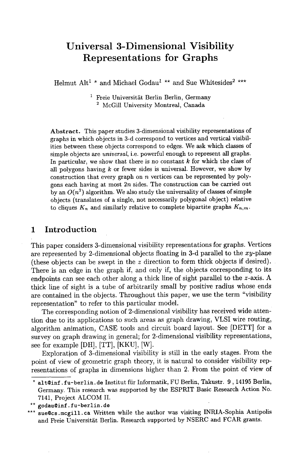# **Universal 3-Dimensional Visibility Representations for Graphs**

Helmut Alt<sup>1</sup>  $*$  and Michael Godau<sup>1</sup>  $**$  and Sue Whitesides<sup>2</sup>  $***$ </sup>

 $<sup>1</sup>$  Freie Universität Berlin Berlin, Germany</sup> 2 McGill University Montreal, **Canada** 

Abstract. This paper studies 3-dimensional visibility representations of graphs in which objects in 3-d correspond to vertices and vertical visibilities between these objects correspond to edges. We ask which classes of simple objects are *universal,* i.e. powerful enough to represent all graphs. In particular, we show that there is no constant  $k$  for which the class of all polygons having  $k$  or fewer sides is universal. However, we show by construction that every graph on  $n$  vertices can be represented by polygons each having at most  $2n$  sides. The construction can be carried out by an  $O(n^2)$  algorithm. We also study the universality of classes of simple objects (translates of a single, not necessarily polygonal object) relative to cliques  $K_n$  and similarly relative to complete bipartite graphs  $K_{n,m}$ .

### **1 Introduction**

This paper considers 3-dimensional visibility representations for graphs. Vertices are represented by 2-dimensional objects floating in 3-d parallel to the  $xy$ -plane (these objects can be swept in the z direction to form thick objects if desired). There is an edge in the graph if, and only if, the objects corresponding to its endpoints can see each other along a thick line of sight parallel to the z-axis. A thick line of sight is a tube of arbitrarily small by positive radius whose ends are contained in the objects. Throughout this paper, we use the term "visibility representation" to refer to this particular model.

The corresponding notion of 2-dimensional visibility has received wide attention due to its applications to such areas as graph drawing, VLSI wire routing, algorithm animation, CASE tools and circuit board layout. See [DETT] for a survey on graph drawing in general; for 2-dimensional visibility representations, see for example [DH], [TT], [KKU], [W].

Exploration of 3-dimensional visibility is still in the early stages. From the point of view of geometric graph theory, it is natural to consider visibility representations of graphs in dimensions higher than 2. From the point of view of

alt@inf.fu-berlin.de Institut für Informatik, FU Berlin, Takustr. 9, 14195 Berlin, Germany. This research was supported by the ESPRIT Basic Research Action No. 7141, Project ALCOM II.

<sup>\*\*</sup> godau@inf.fu-berlin.de

sue@cs.mcgill.ca Written while the author was visiting INRIA-Sophia Antipolis and Freie Universität Berlin. Research supported by NSERC and FCAR grants.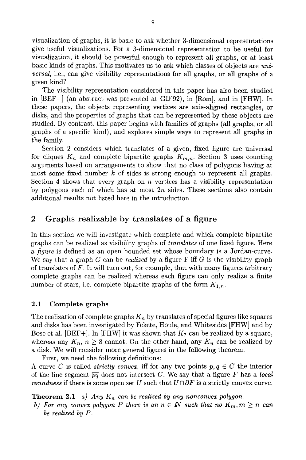visualization of graphs, it is basic to ask whether 3-dimensional representations give useful visualizations. For a 3-dimensional representation to be useful for visualization, it should be powerful enough to represent all graphs, or at least basic kinds of graphs. This motivates us to ask which classes of objects are *universal,* i.e., can give visibility representations for all graphs, or all graphs of a given kind?

The visibility representation considered in this paper has also been studied in  $[BEF+]$  (an abstract was presented at GD'92), in  $[Rom]$ , and in  $[FHW]$ . In these papers, the objects representing vertices are axis-aligned rectangles, or disks, and the properties of graphs that can be represented by these objects are studied. By contrast, this paper begins with families of graphs (all graphs, or all graphs of a specific kind), and explores simple ways to represent all graphs in the family.

Section 2 considers which translates of a given, fixed figure are universal for cliques  $K_n$  and complete bipartite graphs  $K_{m,n}$ . Section 3 uses counting arguments based on arrangements to show that no class of polygons having at most some fixed number  $k$  of sides is strong enough to represent all graphs. Section 4 shows that every graph on  $n$  vertices has a visibility representation by polygons each of which has at most  $2n$  sides. These sections also contain additional results not listed here in the introduction.

#### 2 Graphs realizable by translates of a figure

In this section we will investigate which complete and which complete bipartite graphs can be realized as visibility graphs of *translates* of one fixed figure. Here *a figure* is defined as an open bounded set whose boundary is a Jordan-curve. We say that a graph G can be *realized* by a figure F iff G is the visibility graph of translates of F. It will turn out, for example, that with many figures arbitrary complete graphs can be realized whereas each figure can only realize a finite number of stars, i.e. complete bipartite graphs of the form  $K_{1,n}$ .

#### 2.1 Complete graphs

The realization of complete graphs  $K_n$  by translates of special figures like squares and disks has been investigated by Fekete, Houle, and Whitesides [FHW] and by Bose et al. [BEF+]. In [FHW] it was shown that  $K_7$  can be realized by a square, whereas any  $K_n$ ,  $n \geq 8$  cannot. On the other hand, any  $K_n$  can be realized by a disk. We will consider more general figures in the following theorem.

First, we need the following definitions:

A curve C is called *strictly convex*, iff for any two points  $p, q \in C$  the interior of the line segment  $\overline{pq}$  does not intersect C. We say that a figure F has a *local roundness* if there is some open set U such that  $U \cap \partial F$  is a strictly convex curve.

**Theorem 2.1** *a)* Any  $K_n$  can be realized by any nonconvex polygon.

*b)* For any convex polygon P there is an  $n \in \mathbb{N}$  such that no  $K_m, m \geq n$  can *be realized by P.*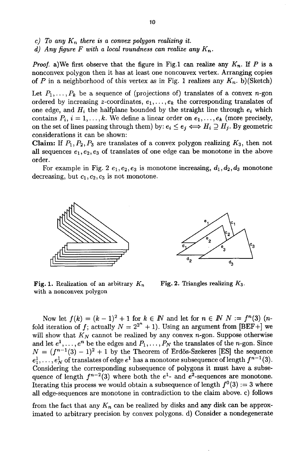- $c)$  To any  $K_n$  there is a convex polygon realizing it.
- *d)* Any figure F with a local roundness can realize any  $K_n$ .

*Proof.* a)We first observe that the figure in Fig.1 can realize any  $K_n$ . If P is a nonconvex polygon then it has at least one nonconvex vertex. Arranging copies of P in a neighborhood of this vertex as in Fig. 1 realizes any  $K_n$ . b)(Sketch)

Let  $P_1, \ldots, P_k$  be a sequence of (projections of) translates of a convex n-gon ordered by increasing z-coordinates,  $e_1, \ldots, e_k$  the corresponding translates of one edge, and  $H_i$  the halfplane bounded by the straight line through  $e_i$  which contains  $P_i$ ,  $i = 1, ..., k$ . We define a linear order on  $e_1, ..., e_k$  (more precisely, on the set of lines passing through them) by:  $e_i \le e_j \iff H_i \supseteq H_j$ . By geometric considerations it can be shown:

**Claim:** If  $P_1, P_2, P_3$  are translates of a convex polygon realizing  $K_3$ , then not all sequences  $e_1, e_2, e_3$  of translates of one edge can be monotone in the above order.

For example in Fig. 2  $e_1, e_2, e_3$  is monotone increasing,  $d_1, d_2, d_3$  monotone decreasing, but  $c_1, c_2, c_3$  is not monotone.



Fig. 1. Realization of an arbitrary  $K_n$ with a nonconvex polygon



Fig. 2. Triangles realizing  $K_3$ .

Now let  $f(k) = (k-1)^2 + 1$  for  $k \in \mathbb{N}$  and let for  $n \in \mathbb{N}$  N :=  $f^{(n)}(3)$  (nfold iteration of f; actually  $N = 2^{2^n} + 1$ ). Using an argument from [BEF+] we will show that  $K_N$  cannot be realized by any convex  $n$ -gon. Suppose otherwise and let  $e^1, \ldots, e^n$  be the edges and  $P_1, \ldots, P_N$  the translates of the *n*-gon. Since  $N = (f^{n-1}(3) - 1)^2 + 1$  by the Theorem of Erdös-Szekeres [ES] the sequence  $e_1^1, \ldots, e_N^1$  of translates of edge  $e^1$  has a monotone subsequence of length  $f^{n-1}(3)$ . Considering the corresponding subsequence of polygons it must have a subsequence of length  $f^{n-2}(3)$  where both the  $e^{1}$ - and  $e^{2}$ -sequences are monotone. Iterating this process we would obtain a subsequence of length  $f^{0}(3) := 3$  where all edge-sequences are monotone in contradiction to the claim above, c) follows

from the fact that any  $K_n$  can be realized by disks and any disk can be approximated to arbitrary precision by convex polygons, d) Consider a nondegenerate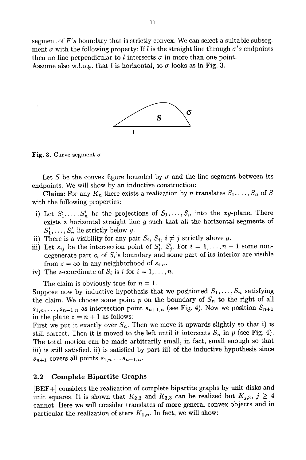segment of *F's* boundary that is strictly convex. We can select a suitable subsegment  $\sigma$  with the following property: If l is the straight line through  $\sigma' s$  endpoints then no line perpendicular to l intersects  $\sigma$  in more than one point. Assume also w.l.o.g. that l is horizontal, so  $\sigma$  looks as in Fig. 3.



Fig. 3. Curve segment  $\sigma$ 

Let S be the convex figure bounded by  $\sigma$  and the line segment between its endpoints. We will show by an inductive construction:

**Claim:** For any  $K_n$  there exists a realization by n translates  $S_1, \ldots, S_n$  of S with the following properties:

- i) Let  $S'_1, \ldots, S'_n$  be the projections of  $S_1, \ldots, S_n$  into the xy-plane. There exists a horizontal straight line  $g$  such that all the horizontal segments of  $S'_1,\ldots, S'_n$  lie strictly below g.
- ii) There is a visibility for any pair  $S_i$ ,  $S_j$ ,  $i \neq j$  strictly above g.
- iii) Let  $s_{ij}$  be the intersection point of  $S_i^{\prime}, S_j^{\prime}$ . For  $i = 1, \ldots, n-1$  some nondegenerate part  $c_i$  of  $S_i$ 's boundary and some part of its interior are visible from  $z = \infty$  in any neighborhood of  $s_{i,n}$ .
- iv) The z-coordinate of  $S_i$  is i for  $i = 1, \ldots, n$ .

The claim is obviously true for  $n = 1$ .

Suppose now by inductive hypothesis that we positioned  $S_1, \ldots, S_n$  satisfying the claim. We choose some point p on the boundary of  $S_n$  to the right of all  $s_{1,n},\ldots,s_{n-1,n}$  as intersection point  $s_{n+1,n}$  (see Fig. 4). Now we position  $S_{n+1}$ in the plane  $z = n + 1$  as follows:

First we put it exactly over  $S_n$ . Then we move it upwards slightly so that i) is still correct. Then it is moved to the left until it intersects  $S_n$  in p (see Fig. 4). The total motion can be made arbitrarily small, in fact, small enough so that iii) is still satisfied, ii) is satisfied by part iii) of the inductive hypothesis since  $s_{n+1}$  covers all points  $s_{1,n} \ldots s_{n-1,n}$ .

#### **2.2 Complete Bipartite Graphs**

[BEF+] considers the realization of complete bipartite graphs by unit disks and unit squares. It is shown that  $K_{2,3}$  and  $K_{3,3}$  can be realized but  $K_{j,3}$ ,  $j \geq 4$ cannot. Here we will consider translates of more general convex objects and in particular the realization of stars  $K_{1,n}$ . In fact, we will show: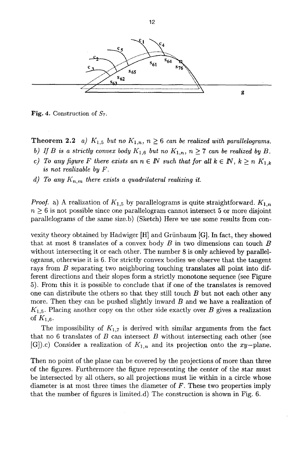

Fig. 4. Construction of *\$7.* 

**Theorem 2.2** *a)*  $K_{1,5}$  *but no*  $K_{1,n}$ ,  $n \geq 6$  *can be realized with parallelograms.* 

- *b)* If B is a strictly convex body  $K_{1,6}$  but no  $K_{1,n}$ ,  $n \geq 7$  can be realized by B.
- *c)* To any figure F there exists an  $n \in \mathbb{N}$  such that for all  $k \in \mathbb{N}$ ,  $k \ge n$   $K_{1,k}$ *is not realizable by F.*
- *d)* To any  $K_{n,m}$  there exists a quadrilateral realizing it.

*Proof.* a) A realization of  $K_{1,5}$  by parallelograms is quite straightforward.  $K_{1,n}$  $n \geq 6$  is not possible since one parallelogram cannot intersect 5 or more disjoint parallelograms of the same size.b) (Sketch) Here we use some results from con-

vexity theory obtained by Hadwiger [H] and Griinbaum [G]. In fact, they showed that at most 8 translates of a convex body  $B$  in two dimensions can touch  $B$ without intersecting it or each other. The number 8 is only achieved by parallelograms, otherwise it is 6. For strictly convex bodies we observe that the tangent rays from B separating two neighboring touching translates all point into different directions and their slopes form a strictly monotone sequence (see Figure 5). From this it is possible to conclude that if one of the translates is removed one can distribute the others so that they still touch  $B$  but not each other any more. Then they can be pushed slightly inward B and we have a realization of  $K_{1,5}$ . Placing another copy on the other side exactly over B gives a realization of  $K_{1,6}$ .

The impossibility of  $K_{1,7}$  is derived with similar arguments from the fact that no  $6$  translates of  $B$  can intersect  $B$  without intersecting each other (see [G]).c) Consider a realization of  $K_{1,n}$  and its projection onto the xy-plane.

Then no point of the plane can be covered by the projections of more than three of the figures. Furthermore the figure representing the center of the star must be intersected by all others, so all projections must lie within in a circle whose diameter is at most three times the diameter of  $F$ . These two properties imply that the number of figures is limited.d) The construction is shown in Fig. 6.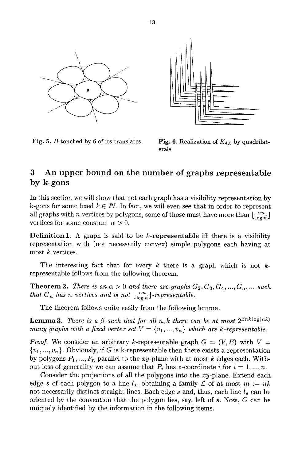

Fig. 5. B touched by 6 of its translates.



Fig. 6. Realization of  $K_{4,5}$  by quadrilaterals

## 3 An upper bound on the number of graphs representable by k-gons

In this section we will show that not each graph has a visibility representation by k-gons for some fixed  $k \in \mathbb{N}$ . In fact, we will even see that in order to represent all graphs with *n* vertices by polygons, some of those must have more than  $\lfloor \frac{\alpha n}{\log n} \rfloor$ vertices for some constant  $\alpha > 0$ .

**Definition 1.** A graph is said to be  $k$ -representable iff there is a visibility representation with (not necessarily convex) simple polygons each having at most k vertices.

The interesting fact that for every k there is a graph which is not  $k$ representable follows from the following theorem.

**Theorem 2.** *There is an*  $\alpha > 0$  *and there are graphs*  $G_2, G_3, G_4, ..., G_n, ...$  *such that*  $G_n$  *has n vertices and is not*  $\lfloor \frac{\alpha n}{\log n} \rfloor$ -representable.

The theorem follows quite easily from the following lemma.

**Lemma 3.** *There is a*  $\beta$  *such that for all n,k there can be at most*  $2^{\beta n k \log(nk)}$ *many graphs with a fixed vertex set*  $V = \{v_1, ..., v_n\}$  which are k-representable.

*Proof.* We consider an arbitrary k-representable graph  $G = (V, E)$  with  $V =$  $\{v_1, ..., v_n\}$ . Obviously, if G is k-representable then there exists a representation by polygons  $P_1, ..., P_n$  parallel to the  $xy$ -plane with at most k edges each. Without loss of generality we can assume that  $P_i$  has z-coordinate i for  $i = 1, ..., n$ .

Consider the projections of all the polygons into the xy-plane. Extend each edge s of each polygon to a line  $l_s$ , obtaining a family  $\mathcal L$  of at most  $m := nk$ not necessarily distinct straight lines. Each edge  $s$  and, thus, each line  $l_s$  can be oriented by the convention that the polygon lies, say, left of s. Now, G can be uniquely identified by the information in the following items.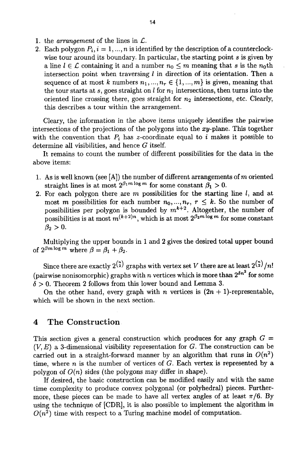- 1. the *arrangement* of the lines in  $\mathcal{L}$ .
- 2. Each polygon  $P_i$ ,  $i = 1, ..., n$  is identified by the description of a counterclockwise tour around its boundary. In particular, the starting point s is given by a line  $l \in \mathcal{L}$  containing it and a number  $n_0 \leq m$  meaning that s is the  $n_0$ th intersection point when traversing  $l$  in direction of its orientation. Then a sequence of at most k numbers  $n_1, ..., n_r \in \{1, ..., m\}$  is given, meaning that the tour starts at s, goes straight on  $l$  for  $n_1$  intersections, then turns into the oriented line crossing there, goes straight for  $n_2$  intersections, etc. Clearly, this describes a tour within the arrangement.

Cleary, the information in the above items uniquely identifies the pairwise intersections of the projections of the polygons into the  $xy$ -plane. This together with the convention that  $P_i$  has z-coordinate equal to i makes it possible to determine all visibilities, and hence G itself.

It remains to count the number of different possibilities for the data in the above items:

- 1. As is well known (see [A]) the number of different arrangements of m oriented straight lines is at most  $2^{\beta_1 m \log m}$  for some constant  $\beta_1 > 0$ .
- 2. For each polygon there are  $m$  possibilities for the starting line  $l$ , and at most m possibilities for each number  $n_0, ..., n_r$ ,  $r \leq k$ . So the number of possibilities per polygon is bounded by  $m^{k+2}$ . Altogether, the number of possibilities is at most  $m^{(k+2)n}$ , which is at most  $2^{\beta_2 m \log m}$  for some constant  $\beta_2 > 0$ .

Multiplying the upper bounds in 1 and 2 gives the desired total upper bound of  $2^{\beta m \log m}$  where  $\beta = \beta_1 + \beta_2$ .

Since there are exactly  $2^{n \choose 2}$  graphs with vertex set V there are at least  $2^{n \choose 2}/n!$ (pairwise nonisomorphic) graphs with *n* vertices which is more than  $2^{\delta n^2}$  for some  $\delta > 0$ . Theorem 2 follows from this lower bound and Lemma 3.

On the other hand, every graph with n vertices is  $(2n + 1)$ -representable, which will be shown in the next section.

#### 4 The Construction

This section gives a general construction which produces for any graph  $G =$  $(V, E)$  a 3-dimensional visibility representation for G. The construction can be carried out in a straight-forward manner by an algorithm that runs in  $O(n^2)$ time, where n is the number of vertices of  $G$ . Each vertex is represented by a polygon of *O(n)* sides (the polygons may differ in shape).

If desired, the basic construction can be modified easily and with the same time complexity to produce convex polygonal (or polyhedral) pieces. Furthermore, these pieces can be made to have all vertex angles of at least  $\pi/6$ . By using the technique of [CDR], it is also possible to implement the algorithm in  $O(n^2)$  time with respect to a Turing machine model of computation.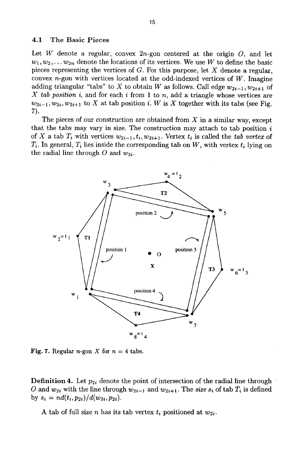#### 4.1 The Basic Pieces

Let  $W$  denote a regular, convex  $2n$ -gon centered at the origin  $O$ , and let  $w_1, w_2, \ldots w_{2n}$  denote the locations of its vertices. We use W to define the basic pieces representing the vertices of  $G$ . For this purpose, let  $X$  denote a regular, convex  $n$ -gon with vertices located at the odd-indexed vertices of  $W$ . Imagine adding triangular "tabs" to X to obtain W as follows. Call edge  $w_{2i-1}, w_{2i+1}$  of *X tab position i,* and for each i from 1 to n, add a triangle whose vertices are  $w_{2i-1}, w_{2i}, w_{2i+1}$  to X at tab position i. W is X together with its tabs (see Fig. 7).

The pieces of our construction are obtained from  $X$  in a similar way, except that the tabs may vary in size. The construction may attach to tab position  $i$ of X a tab  $T_i$  with vertices  $w_{2i-1}, t_i, w_{2i+1}$ . Vertex  $t_i$  is called the *tab vertex* of  $T_i$ . In general,  $T_i$  lies inside the corresponding tab on W, with vertex  $t_i$  lying on the radial line through  $O$  and  $w_{2i}$ .



Fig. 7. Regular *n*-gon X for  $n = 4$  tabs.

Definition 4. Let *P2i* denote the point of intersection of the radial line through O and  $w_{2i}$  with the line through  $w_{2i-1}$  and  $w_{2i+1}$ . The *size*  $s_i$  of tab  $T_i$  is defined by  $s_i = nd(t_i, p_{2i})/d(w_{2i}, p_{2i}).$ 

A tab of full size *n* has its tab vertex  $t_i$  positioned at  $w_{2i}$ .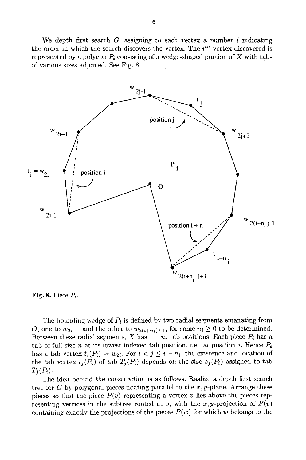We depth first search  $G$ , assigning to each vertex a number i indicating the order in which the search discovers the vertex. The *i*<sup>th</sup> vertex discovered is represented by a polygon  $P_i$  consisting of a wedge-shaped portion of X with tabs of various sizes adjoined. See Fig. 8.



Fig. 8. Piece  $P_i$ .

The bounding wedge of  $P_i$  is defined by two radial segments emanating from O, one to  $w_{2i-1}$  and the other to  $w_{2(i+n_i)+1}$ , for some  $n_i \geq 0$  to be determined. Between these radial segments, X has  $1 + n_i$  tab positions. Each piece  $P_i$  has a tab of full size n at its lowest indexed tab position, i.e., at position i. Hence  $P_i$ has a tab vertex  $t_i(P_i) = w_{2i}$ . For  $i < j \leq i + n_i$ , the existence and location of the tab vertex  $t_i(P_i)$  of tab  $T_i(P_i)$  depends on the size  $s_j(P_i)$  assigned to tab  $T_i(P_i)$ .

The idea behind the construction is as follows. Realize a depth first search tree for  $G$  by polygonal pieces floating parallel to the  $x, y$ -plane. Arrange these pieces so that the piece  $P(v)$  representing a vertex v lies above the pieces representing vertices in the subtree rooted at v, with the x,y-projection of  $P(v)$ containing exactly the projections of the pieces  $P(w)$  for which w belongs to the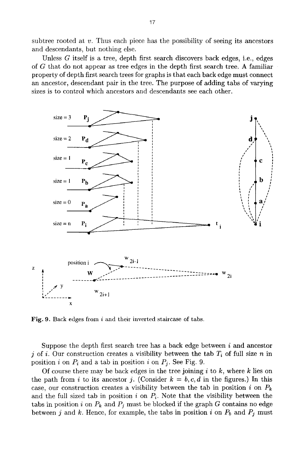subtree rooted at  $v$ . Thus each piece has the possibility of seeing its ancestors and descendants, but nothing else.

Unless  $G$  itself is a tree, depth first search discovers back edges, i.e., edges of G that do not appear as tree edges in the depth first search tree. A familiar property of depth first search trees for graphs is that each back edge must connect an ancestor, descendant pair in the tree. The purpose of adding tabs of varying sizes is to control which ancestors and descendants see each other.



Fig. 9. Back edges from i and their inverted staircase of tabs.

Suppose the depth first search tree has a back edge between  $i$  and ancestor j of i. Our construction creates a visibility between the tab  $T_i$  of full size n in position i on  $P_i$  and a tab in position i on  $P_i$ . See Fig. 9.

Of course there may be back edges in the tree joining  $i$  to  $k$ , where  $k$  lies on the path from i to its ancestor j. (Consider  $k = b, c, d$  in the figures.) In this case, our construction creates a visibility between the tab in position i on  $P_k$ and the full sized tab in position i on  $P_i$ . Note that the visibility between the tabs in position i on  $P_k$  and  $P_j$  must be blocked if the graph G contains no edge between j and k. Hence, for example, the tabs in position i on  $P_b$  and  $P_j$  must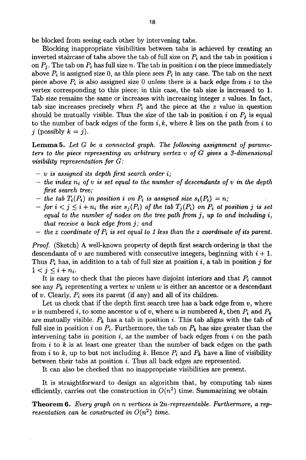be blocked from seeing each other by intervening tabs.

Blocking inappropriate visibilities between tabs is achieved by creating an inverted staircase of tabs above the tab of full size on  $P_i$  and the tab in position i on  $P_i$ . The tab on  $P_i$  has full size n. The tab in position i on the piece immediately above  $P_i$  is assigned size 0, as this piece sees  $P_i$  in any case. The tab on the next piece above  $P_i$  is also assigned size 0 unless there is a back edge from i to the vertex corresponding to this piece; in this case, the tab size is increased to 1. Tab size remains the same or increases with increasing integer  $z$  values. In fact, tab size increases precisely when  $P_i$  and the piece at the z value in question should be mutually visible. Thus the size of the tab in position  $i$  on  $P_i$  is equal to the number of back edges of the form  $i, k$ , where k lies on the path from i to j (possibly  $k = j$ ).

Lemma 5. *Let G be a connected graph. The following assignment of parameters to the piece representing an arbitrary vertex v of G gives a 3-dimensional visibility representation for G:* 

- *v is assigned its depth first search order i;*
- $-$  *the index n<sub>i</sub> of v is set equal to the number of descendants of v in the depth first search tree;*
- *-* the tab  $T_i(P_i)$  in position i on  $P_i$  is assigned size  $s_i(P_i) = n$ ;
- *for*  $i < j \leq i + n_i$  the size  $s_j(P_i)$  of the tab  $T_j(P_i)$  on  $P_i$  at position j is set *equal to the number of nodes on the tree path from j, up to and including i, that receive a back edge from j; and*
- *the z coordinate of*  $P_i$  *is set equal to 1 less than the z coordinate of its parent.*

*Proof.* (Sketch) A well-known property of depth first search ordering is that the descendants of v are numbered with consecutive integers, beginning with  $i + 1$ . Thus  $P_i$  has, in addition to a tab of full size at position i, a tab in position j for  $1 < j \leq i + n_i$ .

It is easy to check that the pieces have disjoint interiors and that  $P_i$  cannot see any  $P_k$  representing a vertex w unless w is either an ancestor or a descendant of v. Clearly,  $P_i$  sees its parent (if any) and all of its children.

Let us check that if the depth first search tree has a back edge from  $v$ , where v is numbered i, to some ancestor u of v, where u is numbered  $k$ , then  $P_i$  and  $P_k$ are mutually visible.  $P_k$  has a tab in position i. This tab aligns with the tab of full size in position i on  $P_i$ . Furthermore, the tab on  $P_k$  has size greater than the intervening tabs in position  $i$ , as the number of back edges from  $i$  on the path from  $i$  to k is at least one greater than the number of back edges on the path from i to k, up to but not including k. Hence  $P_i$  and  $P_k$  have a line of visibility between their tabs at position i. Thus all back edges are represented.

It can also be checked that no inappropriate visibilities axe present.

It is straightforward to design an algorithm that, by computing tab sizes efficiently, carries out the construction in  $O(n^2)$  time. Summarizing we obtain

Theorem 6. *Every graph on n vertices is 2n-representable. Furthermore, a representation can be constructed in*  $O(n^2)$  *time.*